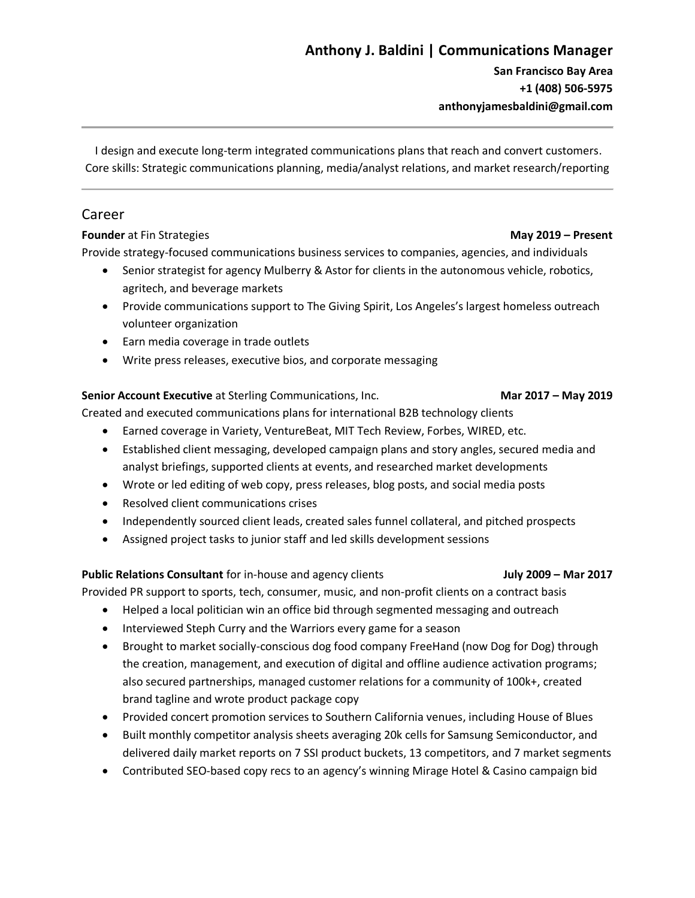# **Anthony J. Baldini | Communications Manager**

**San Francisco Bay Area +1 (408) 506-5975 anthonyjamesbaldini@gmail.com**

I design and execute long-term integrated communications plans that reach and convert customers. Core skills: Strategic communications planning, media/analyst relations, and market research/reporting

## Career

#### **Founder** at Fin Strategies **May 2019 – Present**

Provide strategy-focused communications business services to companies, agencies, and individuals

- Senior strategist for agency Mulberry & Astor for clients in the autonomous vehicle, robotics, agritech, and beverage markets
- Provide communications support to The Giving Spirit, Los Angeles's largest homeless outreach volunteer organization
- Earn media coverage in trade outlets
- Write press releases, executive bios, and corporate messaging

## **Senior Account Executive** at Sterling Communications, Inc. **Mar 2017 – May 2019**

Created and executed communications plans for international B2B technology clients

- Earned coverage in Variety, VentureBeat, MIT Tech Review, Forbes, WIRED, etc.
- Established client messaging, developed campaign plans and story angles, secured media and analyst briefings, supported clients at events, and researched market developments
- Wrote or led editing of web copy, press releases, blog posts, and social media posts
- Resolved client communications crises
- Independently sourced client leads, created sales funnel collateral, and pitched prospects
- Assigned project tasks to junior staff and led skills development sessions

## **Public Relations Consultant** for in-house and agency clients **July 2009 – Mar 2017**

Provided PR support to sports, tech, consumer, music, and non-profit clients on a contract basis

- Helped a local politician win an office bid through segmented messaging and outreach
- Interviewed Steph Curry and the Warriors every game for a season
- Brought to market socially-conscious dog food company FreeHand (now Dog for Dog) through the creation, management, and execution of digital and offline audience activation programs; also secured partnerships, managed customer relations for a community of 100k+, created brand tagline and wrote product package copy
- Provided concert promotion services to Southern California venues, including House of Blues
- Built monthly competitor analysis sheets averaging 20k cells for Samsung Semiconductor, and delivered daily market reports on 7 SSI product buckets, 13 competitors, and 7 market segments
- Contributed SEO-based copy recs to an agency's winning Mirage Hotel & Casino campaign bid